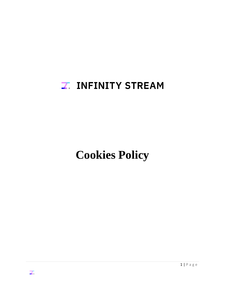## **Z. INFINITY STREAM**

# **Cookies Policy**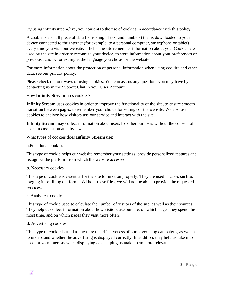By using infinitystream.live, you consent to the use of cookies in accordance with this policy.

A cookie is a small piece of data (consisting of text and numbers) that is downloaded to your device connected to the Internet (for example, to a personal computer, smartphone or tablet) every time you visit our website. It helps the site remember information about you. Cookies are used by the site in order to recognize your device, to store information about your preferences or previous actions, for example, the language you chose for the website.

For more information about the protection of personal information when using cookies and other data, see our privacy policy.

Please check out our ways of using cookies. You can ask us any questions you may have by contacting us in the Support Chat in your User Account.

How **Infinity Stream** uses cookies?

**Infinity Stream** uses cookies in order to improve the functionality of the site, to ensure smooth transition between pages, to remember your choice for settings of the website. We also use cookies to analyze how visitors use our service and interact with the site.

**Infinity Stream** may collect information about users for other purposes without the consent of users in cases stipulated by law.

What types of cookies does **Infinity Stream** use:

#### **a.**Functional cookies

This type of cookie helps our website remember your settings, provide personalized features and recognize the platform from which the website accessed.

#### **b.** Necessary cookies

This type of cookie is essential for the site to function properly. They are used in cases such as logging in or filling out forms. Without these files, we will not be able to provide the requested services.

#### **c.** Analytical cookies

This type of cookie used to calculate the number of visitors of the site, as well as their sources. They help us collect information about how visitors use our site, on which pages they spend the most time, and on which pages they visit more often.

#### **d.** Advertising cookies

This type of cookie is used to measure the effectiveness of our advertising campaigns, as well as to understand whether the advertising is displayed correctly. In addition, they help us take into account your interests when displaying ads, helping us make them more relevant.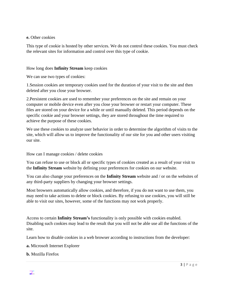#### **e.** Other cookies

This type of cookie is hosted by other services. We do not control these cookies. You must check the relevant sites for information and control over this type of cookie.

### How long does **Infinity Stream** keep cookies

We can use two types of cookies:

1.Session cookies are temporary cookies used for the duration of your visit to the site and then deleted after you close your browser.

2.Persistent cookies are used to remember your preferences on the site and remain on your computer or mobile device even after you close your browser or restart your computer. These files are stored on your device for a while or until manually deleted. This period depends on the specific cookie and your browser settings, they are stored throughout the time required to achieve the purpose of these cookies.

We use these cookies to analyze user behavior in order to determine the algorithm of visits to the site, which will allow us to improve the functionality of our site for you and other users visiting our site.

How can I manage cookies / delete cookies

You can refuse to use or block all or specific types of cookies created as a result of your visit to the **Infinity Stream** website by defining your preferences for cookies on our website.

You can also change your preferences on the **Infinity Stream** website and / or on the websites of any third-party suppliers by changing your browser settings.

Most browsers automatically allow cookies, and therefore, if you do not want to use them, you may need to take actions to delete or block cookies. By refusing to use cookies, you will still be able to visit our sites, however, some of the functions may not work properly.

Access to certain **Infinity Stream's** functionality is only possible with cookies enabled. Disabling such cookies may lead to the result that you will not be able use all the functions of the site.

Learn how to disable cookies in a web browser according to instructions from the developer:

**a.** Microsoft Internet Explorer

**b.** Mozilla Firefox